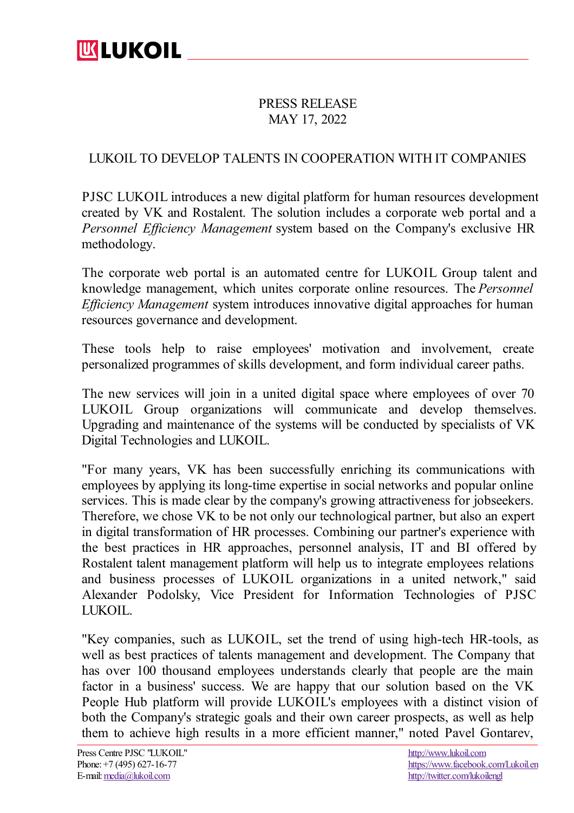## PRESS RELEASE MAY 17, 2022

## LUKOIL TO DEVELOP TALENTS IN COOPERATION WITHIT COMPANIES

PJSC LUKOIL introduces a new digital platform for human resources development created by VK and Rostalent. The solution includes a corporate web portal and a *Personnel Efficiency Management* system based on the Company's exclusive HR methodology.

The corporate web portal is an automated centre for LUKOIL Group talent and knowledge management, which unites corporate online resources. The *Personnel Efficiency Management* system introduces innovative digital approaches for human resources governance and development.

These tools help to raise employees' motivation and involvement, create personalized programmes of skills development, and form individual career paths.

The new services will join in a united digital space where employees of over 70 LUKOIL Group organizations will communicate and develop themselves. Upgrading and maintenance of the systems will be conducted by specialists of VK Digital Technologies and LUKOIL.

"For many years, VK has been successfully enriching its communications with employees by applying its long-time expertise in social networks and popular online services. This is made clear by the company's growing attractiveness for jobseekers. Therefore, we chose VK to be not only our technological partner, but also an expert in digital transformation of HR processes. Combining our partner's experience with the best practices in HR approaches, personnel analysis, IT and BI offered by Rostalent talent management platform will help us to integrate employees relations and business processes of LUKOIL organizations in a united network," said Alexander Podolsky, Vice President for Information Technologies of PJSC LUKOIL.

"Key companies, such as LUKOIL, set the trend of using high-tech HR-tools, as well as best practices of talents management and development. The Company that has over 100 thousand employees understands clearly that people are the main factor in a business' success. We are happy that our solution based on the VK People Hub platform will provide LUKOIL's employees with a distinct vision of both the Company's strategic goals and their own career prospects, as well as help them to achieve high results in a more efficient manner," noted Pavel Gontarev,